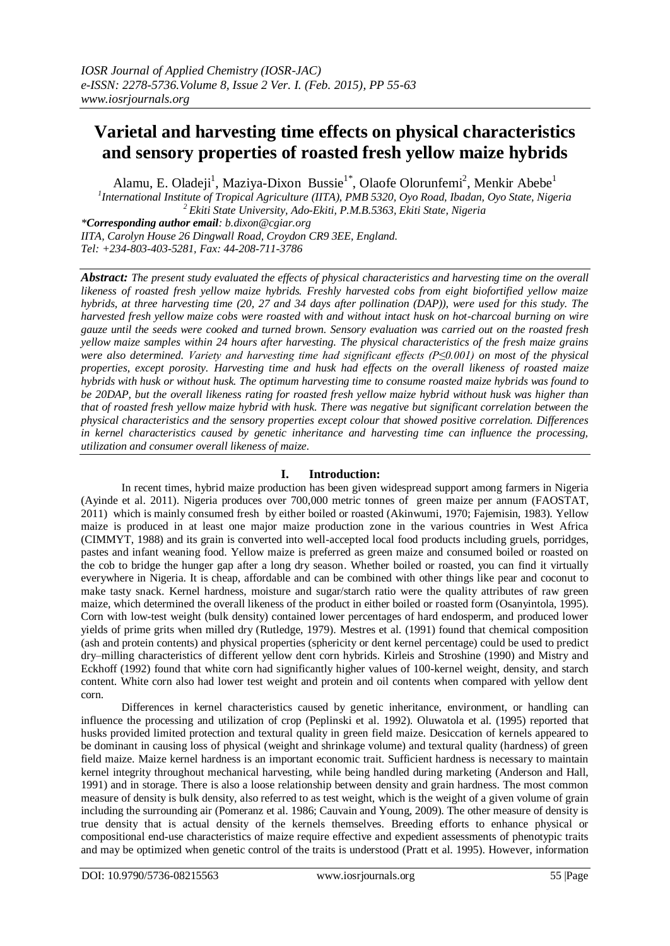# **Varietal and harvesting time effects on physical characteristics and sensory properties of roasted fresh yellow maize hybrids**

Alamu, E. Oladeji<sup>1</sup>, Maziya-Dixon Bussie<sup>1\*</sup>, Olaofe Olorunfemi<sup>2</sup>, Menkir Abebe<sup>1</sup>

*1 International Institute of Tropical Agriculture (IITA), PMB 5320, Oyo Road, Ibadan, Oyo State, Nigeria <sup>2</sup>Ekiti State University, Ado-Ekiti, P.M.B.5363, Ekiti State, Nigeria \*Corresponding author email: b.dixon@cgiar.org*

*IITA, Carolyn House 26 Dingwall Road, Croydon CR9 3EE, England. Tel: +234-803-403-5281, Fax: 44-208-711-3786*

*Abstract: The present study evaluated the effects of physical characteristics and harvesting time on the overall likeness of roasted fresh yellow maize hybrids. Freshly harvested cobs from eight biofortified yellow maize hybrids, at three harvesting time (20, 27 and 34 days after pollination (DAP)), were used for this study. The harvested fresh yellow maize cobs were roasted with and without intact husk on hot-charcoal burning on wire gauze until the seeds were cooked and turned brown. Sensory evaluation was carried out on the roasted fresh yellow maize samples within 24 hours after harvesting. The physical characteristics of the fresh maize grains were also determined. Variety and harvesting time had significant effects (P≤0.001) on most of the physical properties, except porosity. Harvesting time and husk had effects on the overall likeness of roasted maize hybrids with husk or without husk. The optimum harvesting time to consume roasted maize hybrids was found to be 20DAP, but the overall likeness rating for roasted fresh yellow maize hybrid without husk was higher than that of roasted fresh yellow maize hybrid with husk. There was negative but significant correlation between the physical characteristics and the sensory properties except colour that showed positive correlation. Differences in kernel characteristics caused by genetic inheritance and harvesting time can influence the processing, utilization and consumer overall likeness of maize.*

# **I. Introduction:**

In recent times, hybrid maize production has been given widespread support among farmers in Nigeria (Ayinde et al. 2011). Nigeria produces over 700,000 metric tonnes of green maize per annum (FAOSTAT, 2011) which is mainly consumed fresh by either boiled or roasted (Akinwumi, 1970; Fajemisin, 1983). Yellow maize is produced in at least one major maize production zone in the various countries in West Africa (CIMMYT, 1988) and its grain is converted into well-accepted local food products including gruels, porridges, pastes and infant weaning food. Yellow maize is preferred as green maize and consumed boiled or roasted on the cob to bridge the hunger gap after a long dry season. Whether boiled or roasted, you can find it virtually everywhere in Nigeria. It is cheap, affordable and can be combined with other things like pear and coconut to make tasty snack. Kernel hardness, moisture and sugar/starch ratio were the quality attributes of raw green maize, which determined the overall likeness of the product in either boiled or roasted form (Osanyintola, 1995). Corn with low-test weight (bulk density) contained lower percentages of hard endosperm, and produced lower yields of prime grits when milled dry (Rutledge, 1979). Mestres et al. (1991) found that chemical composition (ash and protein contents) and physical properties (sphericity or dent kernel percentage) could be used to predict dry–milling characteristics of different yellow dent corn hybrids. Kirleis and Stroshine (1990) and Mistry and Eckhoff (1992) found that white corn had significantly higher values of 100-kernel weight, density, and starch content. White corn also had lower test weight and protein and oil contents when compared with yellow dent corn.

Differences in kernel characteristics caused by genetic inheritance, environment, or handling can influence the processing and utilization of crop (Peplinski et al. 1992). Oluwatola et al. (1995) reported that husks provided limited protection and textural quality in green field maize. Desiccation of kernels appeared to be dominant in causing loss of physical (weight and shrinkage volume) and textural quality (hardness) of green field maize. Maize kernel hardness is an important economic trait. Sufficient hardness is necessary to maintain kernel integrity throughout mechanical harvesting, while being handled during marketing (Anderson and Hall, 1991) and in storage. There is also a loose relationship between density and grain hardness. The most common measure of density is bulk density, also referred to as test weight, which is the weight of a given volume of grain including the surrounding air (Pomeranz et al. 1986; Cauvain and Young, 2009). The other measure of density is true density that is actual density of the kernels themselves. Breeding efforts to enhance physical or compositional end-use characteristics of maize require effective and expedient assessments of phenotypic traits and may be optimized when genetic control of the traits is understood (Pratt et al. 1995). However, information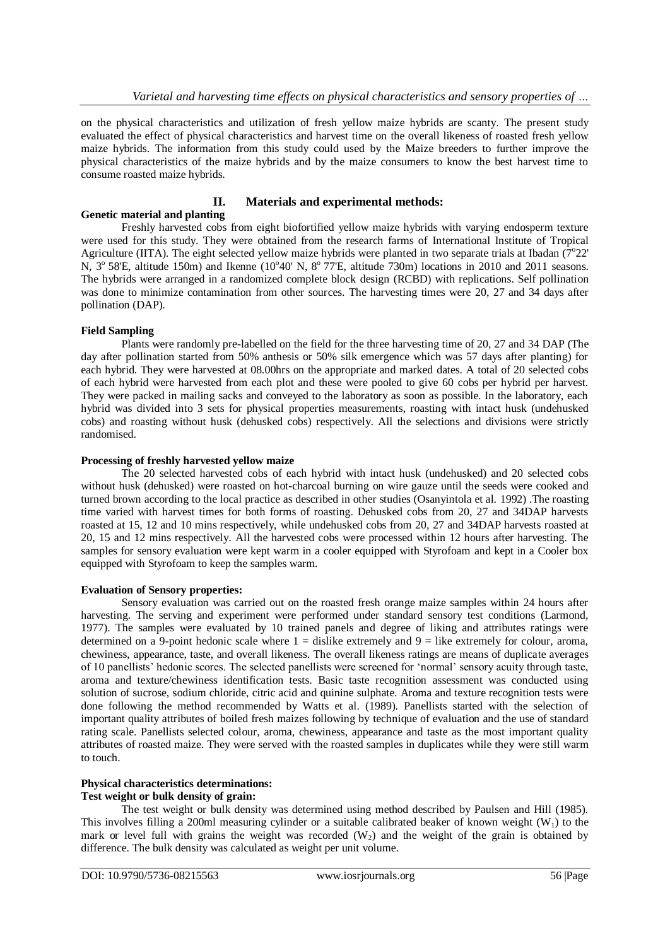on the physical characteristics and utilization of fresh yellow maize hybrids are scanty. The present study evaluated the effect of physical characteristics and harvest time on the overall likeness of roasted fresh yellow maize hybrids. The information from this study could used by the Maize breeders to further improve the physical characteristics of the maize hybrids and by the maize consumers to know the best harvest time to consume roasted maize hybrids.

#### **II. Materials and experimental methods: Genetic material and planting**

Freshly harvested cobs from eight biofortified yellow maize hybrids with varying endosperm texture were used for this study. They were obtained from the research farms of International Institute of Tropical Agriculture (IITA). The eight selected yellow maize hybrids were planted in two separate trials at Ibadan ( $7^{\circ}22'$ N, 3<sup>o</sup> 58'E, altitude 150m) and Ikenne (10<sup>o</sup>40' N, 8<sup>o</sup> 77'E, altitude 730m) locations in 2010 and 2011 seasons. The hybrids were arranged in a randomized complete block design (RCBD) with replications. Self pollination was done to minimize contamination from other sources. The harvesting times were 20, 27 and 34 days after pollination (DAP).

## **Field Sampling**

Plants were randomly pre-labelled on the field for the three harvesting time of 20, 27 and 34 DAP (The day after pollination started from 50% anthesis or 50% silk emergence which was 57 days after planting) for each hybrid. They were harvested at 08.00hrs on the appropriate and marked dates. A total of 20 selected cobs of each hybrid were harvested from each plot and these were pooled to give 60 cobs per hybrid per harvest. They were packed in mailing sacks and conveyed to the laboratory as soon as possible. In the laboratory, each hybrid was divided into 3 sets for physical properties measurements, roasting with intact husk (undehusked cobs) and roasting without husk (dehusked cobs) respectively. All the selections and divisions were strictly randomised.

## **Processing of freshly harvested yellow maize**

The 20 selected harvested cobs of each hybrid with intact husk (undehusked) and 20 selected cobs without husk (dehusked) were roasted on hot-charcoal burning on wire gauze until the seeds were cooked and turned brown according to the local practice as described in other studies (Osanyintola et al. 1992) .The roasting time varied with harvest times for both forms of roasting. Dehusked cobs from 20, 27 and 34DAP harvests roasted at 15, 12 and 10 mins respectively, while undehusked cobs from 20, 27 and 34DAP harvests roasted at 20, 15 and 12 mins respectively. All the harvested cobs were processed within 12 hours after harvesting. The samples for sensory evaluation were kept warm in a cooler equipped with Styrofoam and kept in a Cooler box equipped with Styrofoam to keep the samples warm.

## **Evaluation of Sensory properties:**

Sensory evaluation was carried out on the roasted fresh orange maize samples within 24 hours after harvesting. The serving and experiment were performed under standard sensory test conditions (Larmond, 1977). The samples were evaluated by 10 trained panels and degree of liking and attributes ratings were determined on a 9-point hedonic scale where  $1 =$  dislike extremely and  $9 =$  like extremely for colour, aroma, chewiness, appearance, taste, and overall likeness. The overall likeness ratings are means of duplicate averages of 10 panellists' hedonic scores. The selected panellists were screened for 'normal' sensory acuity through taste, aroma and texture/chewiness identification tests. Basic taste recognition assessment was conducted using solution of sucrose, sodium chloride, citric acid and quinine sulphate. Aroma and texture recognition tests were done following the method recommended by Watts et al. (1989). Panellists started with the selection of important quality attributes of boiled fresh maizes following by technique of evaluation and the use of standard rating scale. Panellists selected colour, aroma, chewiness, appearance and taste as the most important quality attributes of roasted maize. They were served with the roasted samples in duplicates while they were still warm to touch.

# **Physical characteristics determinations:**

# **Test weight or bulk density of grain:**

The test weight or bulk density was determined using method described by Paulsen and Hill (1985). This involves filling a 200ml measuring cylinder or a suitable calibrated beaker of known weight  $(W_1)$  to the mark or level full with grains the weight was recorded  $(W<sub>2</sub>)$  and the weight of the grain is obtained by difference. The bulk density was calculated as weight per unit volume.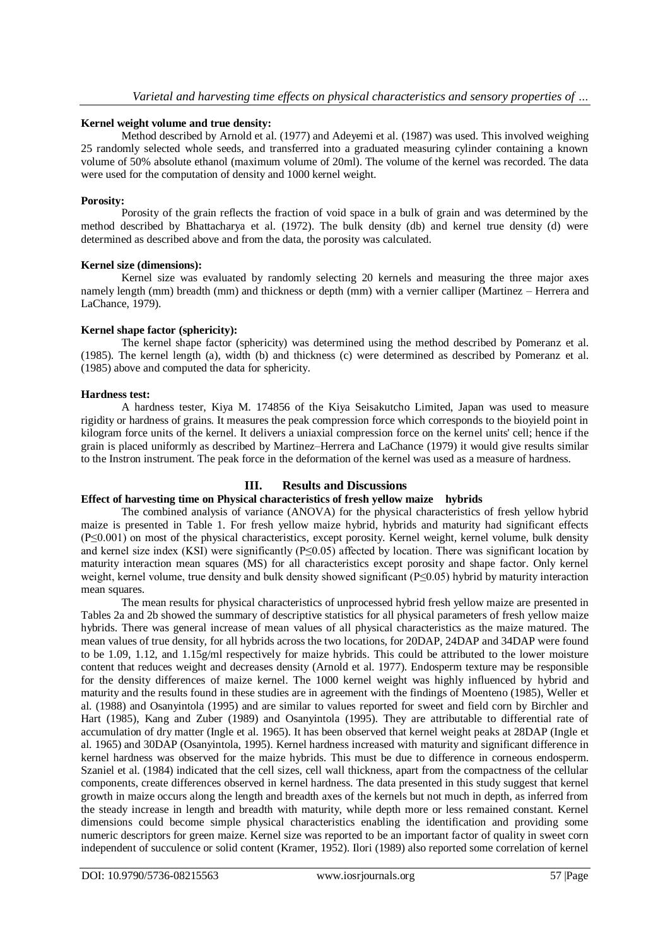# **Kernel weight volume and true density:**

Method described by Arnold et al. (1977) and Adeyemi et al. (1987) was used. This involved weighing 25 randomly selected whole seeds, and transferred into a graduated measuring cylinder containing a known volume of 50% absolute ethanol (maximum volume of 20ml). The volume of the kernel was recorded. The data were used for the computation of density and 1000 kernel weight.

## **Porosity:**

Porosity of the grain reflects the fraction of void space in a bulk of grain and was determined by the method described by Bhattacharya et al. (1972). The bulk density (db) and kernel true density (d) were determined as described above and from the data, the porosity was calculated.

## **Kernel size (dimensions):**

Kernel size was evaluated by randomly selecting 20 kernels and measuring the three major axes namely length (mm) breadth (mm) and thickness or depth (mm) with a vernier calliper (Martinez – Herrera and LaChance, 1979).

# **Kernel shape factor (sphericity):**

The kernel shape factor (sphericity) was determined using the method described by Pomeranz et al. (1985). The kernel length (a), width (b) and thickness (c) were determined as described by Pomeranz et al. (1985) above and computed the data for sphericity.

# **Hardness test:**

A hardness tester, Kiya M. 174856 of the Kiya Seisakutcho Limited, Japan was used to measure rigidity or hardness of grains. It measures the peak compression force which corresponds to the bioyield point in kilogram force units of the kernel. It delivers a uniaxial compression force on the kernel units' cell; hence if the grain is placed uniformly as described by Martinez–Herrera and LaChance (1979) it would give results similar to the Instron instrument. The peak force in the deformation of the kernel was used as a measure of hardness.

# **III. Results and Discussions**

# **Effect of harvesting time on Physical characteristics of fresh yellow maize hybrids**

The combined analysis of variance (ANOVA) for the physical characteristics of fresh yellow hybrid maize is presented in Table 1. For fresh yellow maize hybrid, hybrids and maturity had significant effects (P≤0.001) on most of the physical characteristics, except porosity. Kernel weight, kernel volume, bulk density and kernel size index (KSI) were significantly (P≤0.05) affected by location. There was significant location by maturity interaction mean squares (MS) for all characteristics except porosity and shape factor. Only kernel weight, kernel volume, true density and bulk density showed significant (P≤0.05) hybrid by maturity interaction mean squares.

The mean results for physical characteristics of unprocessed hybrid fresh yellow maize are presented in Tables 2a and 2b showed the summary of descriptive statistics for all physical parameters of fresh yellow maize hybrids. There was general increase of mean values of all physical characteristics as the maize matured. The mean values of true density, for all hybrids across the two locations, for 20DAP, 24DAP and 34DAP were found to be 1.09, 1.12, and 1.15g/ml respectively for maize hybrids. This could be attributed to the lower moisture content that reduces weight and decreases density (Arnold et al. 1977). Endosperm texture may be responsible for the density differences of maize kernel. The 1000 kernel weight was highly influenced by hybrid and maturity and the results found in these studies are in agreement with the findings of Moenteno (1985), Weller et al. (1988) and Osanyintola (1995) and are similar to values reported for sweet and field corn by Birchler and Hart (1985), Kang and Zuber (1989) and Osanyintola (1995). They are attributable to differential rate of accumulation of dry matter (Ingle et al. 1965). It has been observed that kernel weight peaks at 28DAP (Ingle et al. 1965) and 30DAP (Osanyintola, 1995). Kernel hardness increased with maturity and significant difference in kernel hardness was observed for the maize hybrids. This must be due to difference in corneous endosperm. Szaniel et al. (1984) indicated that the cell sizes, cell wall thickness, apart from the compactness of the cellular components, create differences observed in kernel hardness. The data presented in this study suggest that kernel growth in maize occurs along the length and breadth axes of the kernels but not much in depth, as inferred from the steady increase in length and breadth with maturity, while depth more or less remained constant. Kernel dimensions could become simple physical characteristics enabling the identification and providing some numeric descriptors for green maize. Kernel size was reported to be an important factor of quality in sweet corn independent of succulence or solid content (Kramer, 1952). Ilori (1989) also reported some correlation of kernel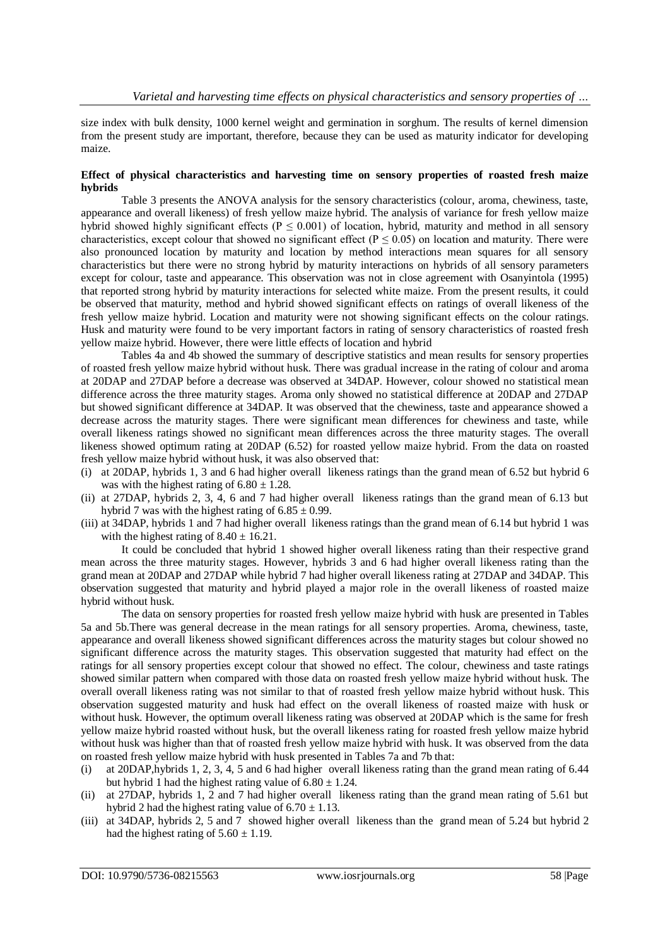size index with bulk density, 1000 kernel weight and germination in sorghum. The results of kernel dimension from the present study are important, therefore, because they can be used as maturity indicator for developing maize.

#### **Effect of physical characteristics and harvesting time on sensory properties of roasted fresh maize hybrids**

Table 3 presents the ANOVA analysis for the sensory characteristics (colour, aroma, chewiness, taste, appearance and overall likeness) of fresh yellow maize hybrid. The analysis of variance for fresh yellow maize hybrid showed highly significant effects ( $P \le 0.001$ ) of location, hybrid, maturity and method in all sensory characteristics, except colour that showed no significant effect ( $P \le 0.05$ ) on location and maturity. There were also pronounced location by maturity and location by method interactions mean squares for all sensory characteristics but there were no strong hybrid by maturity interactions on hybrids of all sensory parameters except for colour, taste and appearance. This observation was not in close agreement with Osanyintola (1995) that reported strong hybrid by maturity interactions for selected white maize. From the present results, it could be observed that maturity, method and hybrid showed significant effects on ratings of overall likeness of the fresh yellow maize hybrid. Location and maturity were not showing significant effects on the colour ratings. Husk and maturity were found to be very important factors in rating of sensory characteristics of roasted fresh yellow maize hybrid. However, there were little effects of location and hybrid

Tables 4a and 4b showed the summary of descriptive statistics and mean results for sensory properties of roasted fresh yellow maize hybrid without husk. There was gradual increase in the rating of colour and aroma at 20DAP and 27DAP before a decrease was observed at 34DAP. However, colour showed no statistical mean difference across the three maturity stages. Aroma only showed no statistical difference at 20DAP and 27DAP but showed significant difference at 34DAP. It was observed that the chewiness, taste and appearance showed a decrease across the maturity stages. There were significant mean differences for chewiness and taste, while overall likeness ratings showed no significant mean differences across the three maturity stages. The overall likeness showed optimum rating at 20DAP (6.52) for roasted yellow maize hybrid. From the data on roasted fresh yellow maize hybrid without husk, it was also observed that:

- (i) at 20DAP, hybrids 1, 3 and 6 had higher overall likeness ratings than the grand mean of 6.52 but hybrid 6 was with the highest rating of  $6.80 \pm 1.28$ .
- (ii) at 27DAP, hybrids 2, 3, 4, 6 and 7 had higher overall likeness ratings than the grand mean of 6.13 but hybrid 7 was with the highest rating of  $6.85 \pm 0.99$ .
- (iii) at 34DAP, hybrids 1 and 7 had higher overall likeness ratings than the grand mean of 6.14 but hybrid 1 was with the highest rating of  $8.40 \pm 16.21$ .

It could be concluded that hybrid 1 showed higher overall likeness rating than their respective grand mean across the three maturity stages. However, hybrids 3 and 6 had higher overall likeness rating than the grand mean at 20DAP and 27DAP while hybrid 7 had higher overall likeness rating at 27DAP and 34DAP. This observation suggested that maturity and hybrid played a major role in the overall likeness of roasted maize hybrid without husk.

The data on sensory properties for roasted fresh yellow maize hybrid with husk are presented in Tables 5a and 5b.There was general decrease in the mean ratings for all sensory properties. Aroma, chewiness, taste, appearance and overall likeness showed significant differences across the maturity stages but colour showed no significant difference across the maturity stages. This observation suggested that maturity had effect on the ratings for all sensory properties except colour that showed no effect. The colour, chewiness and taste ratings showed similar pattern when compared with those data on roasted fresh yellow maize hybrid without husk. The overall overall likeness rating was not similar to that of roasted fresh yellow maize hybrid without husk. This observation suggested maturity and husk had effect on the overall likeness of roasted maize with husk or without husk. However, the optimum overall likeness rating was observed at 20DAP which is the same for fresh yellow maize hybrid roasted without husk, but the overall likeness rating for roasted fresh yellow maize hybrid without husk was higher than that of roasted fresh yellow maize hybrid with husk. It was observed from the data on roasted fresh yellow maize hybrid with husk presented in Tables 7a and 7b that:

- (i) at 20DAP,hybrids 1, 2, 3, 4, 5 and 6 had higher overall likeness rating than the grand mean rating of 6.44 but hybrid 1 had the highest rating value of  $6.80 \pm 1.24$ .
- (ii) at 27DAP, hybrids 1, 2 and 7 had higher overall likeness rating than the grand mean rating of 5.61 but hybrid 2 had the highest rating value of  $6.70 \pm 1.13$ .
- (iii) at 34DAP, hybrids 2, 5 and 7 showed higher overall likeness than the grand mean of 5.24 but hybrid 2 had the highest rating of  $5.60 \pm 1.19$ .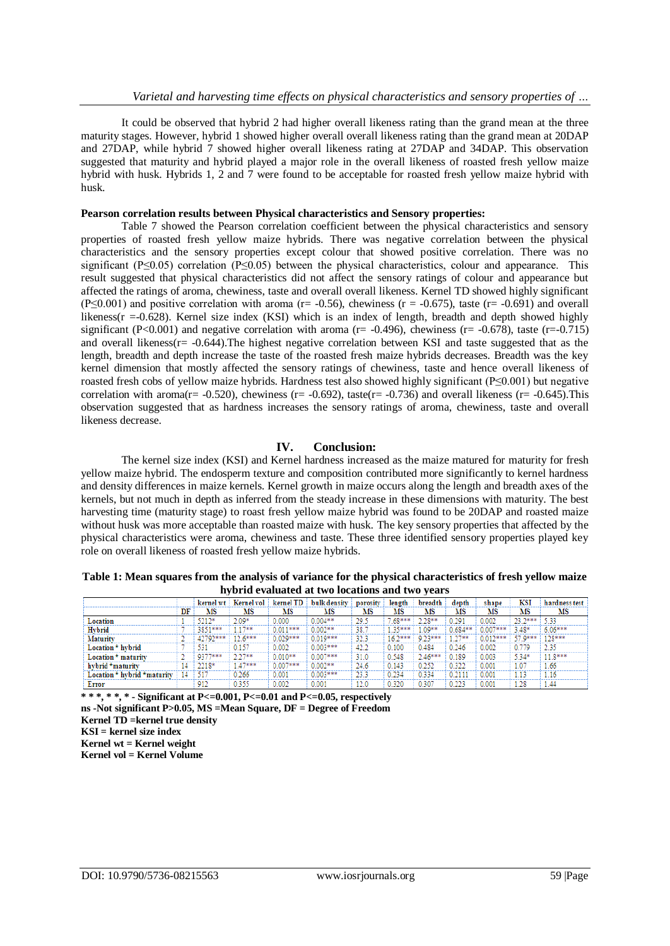It could be observed that hybrid 2 had higher overall likeness rating than the grand mean at the three maturity stages. However, hybrid 1 showed higher overall overall likeness rating than the grand mean at 20DAP and 27DAP, while hybrid 7 showed higher overall likeness rating at 27DAP and 34DAP. This observation suggested that maturity and hybrid played a major role in the overall likeness of roasted fresh yellow maize hybrid with husk. Hybrids 1, 2 and 7 were found to be acceptable for roasted fresh yellow maize hybrid with husk.

#### **Pearson correlation results between Physical characteristics and Sensory properties:**

Table 7 showed the Pearson correlation coefficient between the physical characteristics and sensory properties of roasted fresh yellow maize hybrids. There was negative correlation between the physical characteristics and the sensory properties except colour that showed positive correlation. There was no significant (P≤0.05) correlation (P≤0.05) between the physical characteristics, colour and appearance. This result suggested that physical characteristics did not affect the sensory ratings of colour and appearance but affected the ratings of aroma, chewiness, taste and overall overall likeness. Kernel TD showed highly significant (P≤0.001) and positive correlation with aroma ( $r = -0.56$ ), chewiness ( $r = -0.675$ ), taste ( $r = -0.691$ ) and overall likeness( $r = -0.628$ ). Kernel size index (KSI) which is an index of length, breadth and depth showed highly significant (P<0.001) and negative correlation with aroma ( $r = -0.496$ ), chewiness ( $r = -0.678$ ), taste ( $r = -0.715$ ) and overall likeness( $r = -0.644$ ). The highest negative correlation between KSI and taste suggested that as the length, breadth and depth increase the taste of the roasted fresh maize hybrids decreases. Breadth was the key kernel dimension that mostly affected the sensory ratings of chewiness, taste and hence overall likeness of roasted fresh cobs of yellow maize hybrids. Hardness test also showed highly significant (P≤0.001) but negative correlation with aroma(r= -0.520), chewiness (r= -0.692), taste(r= -0.736) and overall likeness (r= -0.645). This observation suggested that as hardness increases the sensory ratings of aroma, chewiness, taste and overall likeness decrease.

#### **IV. Conclusion:**

The kernel size index (KSI) and Kernel hardness increased as the maize matured for maturity for fresh yellow maize hybrid. The endosperm texture and composition contributed more significantly to kernel hardness and density differences in maize kernels. Kernel growth in maize occurs along the length and breadth axes of the kernels, but not much in depth as inferred from the steady increase in these dimensions with maturity. The best harvesting time (maturity stage) to roast fresh yellow maize hybrid was found to be 20DAP and roasted maize without husk was more acceptable than roasted maize with husk. The key sensory properties that affected by the physical characteristics were aroma, chewiness and taste. These three identified sensory properties played key role on overall likeness of roasted fresh yellow maize hybrids.

|                             |    | kernel wt | Kernel vol | kernel TD  | bulk density | porosity | length    | breadth   | depth      | shape      | KSI     | hardness test |
|-----------------------------|----|-----------|------------|------------|--------------|----------|-----------|-----------|------------|------------|---------|---------------|
|                             | DF | MS        | MS         | MS         | MS           | MS       | MS        | MS        | MS         | MS         | MS      | MS            |
| Location                    |    | 50108     | 2.09*      | 0.000      | $0.004**$    | ۇ 29     | $.68***$  | $2.28**$  | 291        | 0.002      | 23.2*** | 5.33          |
| Hybrid                      |    | 3851***   | 1788       | $0.011***$ | $0.002**$    | 38.      | 25888     | $.09**$   | $0.684***$ | $0.007***$ | $3.48*$ | $6.06***$     |
| Maturity                    |    | 42792***  | 176888     | $0.029***$ | $0.019***$   | 32.3     | $16.2***$ | 9.23***   | 7788       | $0.012***$ | 57 0888 | 128***        |
| Location * hvbrid           |    | 531       | 150        | 0.002      | $0.003***$   | 42.2     | 0.100     | 0.484     | 0.246      | 0.002      |         | 2.35          |
| Location $*$ maturity       |    | 9377***   | 0.0788     | $0.010**$  | $0.007***$   | 31.0     | 0.548     | $2.46***$ | .189       | 0.003      | $5.34*$ | $11.8***$     |
| hybrid $*$ maturity         |    | 2218*     | 1.47***    | $0.007***$ | $0.002**$    | 24.6     | 0.143     | 350       | 300        | 0.00       | 1.07    | 1.66          |
| Location * hvbrid *maturitv |    | 517       | 1.266      | 0.001      | $0.003***$   | 23.3     | 0.234     | 0.334     |            | 0.00:      |         | 4.16          |
| Error                       |    | 912       | 0.355      | 0.002      | 0.001        | 12.0     | J.320     | $0.30-1$  | 0.223      | 0.001      | - 28    | 1.44          |

**Table 1: Mean squares from the analysis of variance for the physical characteristics of fresh yellow maize hybrid evaluated at two locations and two years**

**\* \* \*, \* \*, \* - Significant at P<=0.001, P<=0.01 and P<=0.05, respectively**

**ns -Not significant P>0.05, MS =Mean Square, DF = Degree of Freedom**

**Kernel wt = Kernel weight**

**Kernel vol = Kernel Volume**

**Kernel TD =kernel true density**

**KSI = kernel size index**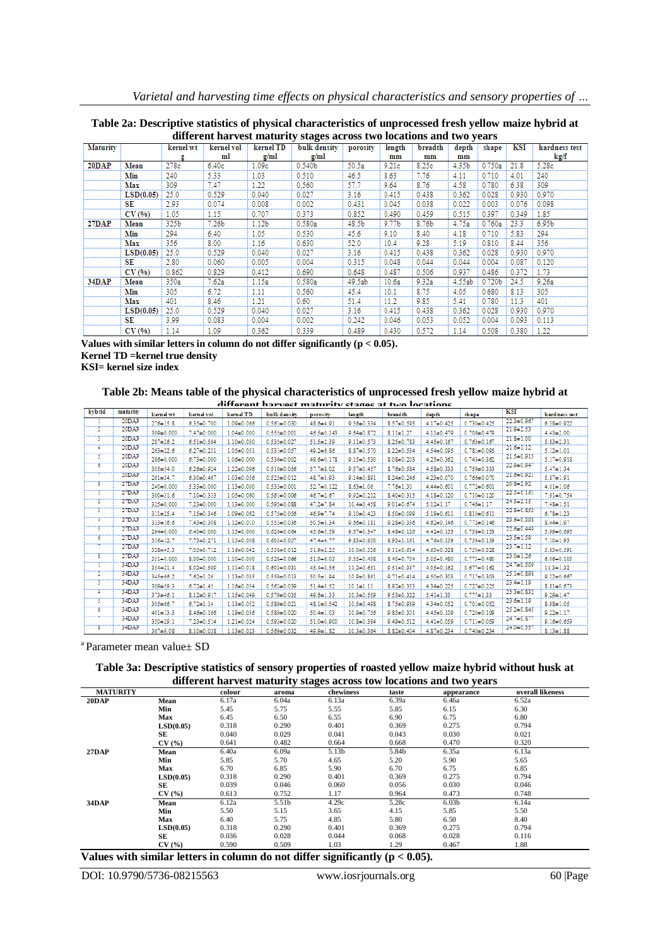| Table 2a: Descriptive statistics of physical characteristics of unprocessed fresh yellow maize hybrid at |
|----------------------------------------------------------------------------------------------------------|
| different harvest maturity stages across two locations and two years                                     |

|                 | unter the nar vest maturity stages across two locations and two years |           |                   |                   |                    |          |        |         |        |                    |       |                   |
|-----------------|-----------------------------------------------------------------------|-----------|-------------------|-------------------|--------------------|----------|--------|---------|--------|--------------------|-------|-------------------|
| <b>Maturity</b> |                                                                       | kernel wt | kernel vol        | kernel TD         | bulk density       | porosity | length | breadth | depth  | shape              | KSI   | hardness test     |
|                 |                                                                       | g         | ml                | g/ml              | g/ml               |          | mm     | mm      | mm     |                    |       | kg/f              |
| 20DAP.          | Mean                                                                  | 278c      | 6.40c             | 1.09 <sub>c</sub> | 0.540 <sub>b</sub> | 50.5a    | 9.21c  | 8.25c   | 4.35b  | 0.750a             | 21.8  | 5.28c             |
|                 | Min                                                                   | 240       | 5.33              | 1.03              | 0.510              | 46.5     | 8.63   | 7.76    | 4.11   | 0.710              | 4.01  | 240               |
|                 | Max                                                                   | 309       | 7.47              | 1.22              | 0.560              | 57.7     | 9.64   | 8.76    | 4.58   | 0.780              | 6.38  | 309               |
|                 | LSD(0.05)                                                             | 25.0      | 0.529             | 0.040             | 0.027              | 3.16     | 0.415  | 0.438   | 0.362  | 0.028              | 0.930 | 0.970             |
|                 | SE                                                                    | 2.93      | 0.074             | 0.008             | 0.002              | 0.431    | 0.045  | 0.038   | 0.022  | 0.003              | 0.076 | 0.098             |
|                 | CV(%)                                                                 | 1.05      | 1.15              | 0.707             | 0.373              | 0.852    | 0.490  | 0.459   | 0.515  | 0.397              | 0.349 | 1.85              |
| 27DAP           | Mean                                                                  | 325b      | 7.26 <sub>b</sub> | 1.12 <sub>b</sub> | 0.580a             | 48.5b    | 9.77b  | 8.76b   | 4.75a  | 0.760a             | 23.3  | 6.95 <sub>b</sub> |
|                 | Min                                                                   | 294       | 6.40              | 1.05              | 0.530              | 45.6     | 9.10   | 8.40    | 4.18   | 0.710              | 5.83  | 294               |
|                 | Max                                                                   | 356       | 8.00              | 1.16              | 0.630              | 52.0     | 10.4   | 9.28    | 5.19   | 0.810              | 8.44  | 356               |
|                 | LSD(0.05)                                                             | 25.0      | 0.529             | 0.040             | 0.027              | 3.16     | 0.415  | 0.438   | 0.362  | 0.028              | 0.930 | 0.970             |
|                 | SE                                                                    | 2.80      | 0.060             | 0.005             | 0.004              | 0.315    | 0.048  | 0.044   | 0.044  | 0.004              | 0.087 | 0.120             |
|                 | CV(96)                                                                | 0.862     | 0.829             | 0.412             | 0.690              | 0.648    | 0.487  | 0.506   | 0.937  | 0.486              | 0.372 | 1.73              |
| 34DAP           | Mean                                                                  | 350a      | 7.62a             | 1.15a             | 0.580a             | 49.5ab   | 10.6a  | 9.32a   | 4.55ab | 0.720 <sub>b</sub> | 24.5  | 9.26a             |
|                 | Min                                                                   | 305       | 6.72              | 1.11              | 0.560              | 45.4     | 10.1   | 8.75    | 4.05   | 0.680              | 8.13  | 305               |
|                 | Max                                                                   | 401       | 8.46              | 1.21              | 0.60               | 51.4     | 11.2   | 9.85    | 5.41   | 0.780              | 11.3  | 401               |
|                 | LSD(0.05)                                                             | 25.0      | 0.529             | 0.040             | 0.027              | 3.16     | 0.415  | 0.438   | 0.362  | 0.028              | 0.930 | 0.970             |
|                 | SE                                                                    | 3.99      | 0.083             | 0.004             | 0.002              | 0.242    | 0.046  | 0.053   | 0.052  | 0.004              | 0.093 | 0.113             |
|                 | CV(96)                                                                | 1.14      | 1.09              | 0.362             | 0.339              | 0.489    | 0.430  | 0.572   | 1.14   | 0.508              | 0.380 | 1.22              |

**Values with similar letters in column do not differ significantly (p < 0.05). Kernel TD =kernel true density KSI= kernel size index**

**Table 2b: Means table of the physical characteristics of unprocessed fresh yellow maize hybrid at** 

|        |          |                |                  |                  | different harvest maturity stages at two locations |                  |                  |                  |                  |                   |                  |                  |
|--------|----------|----------------|------------------|------------------|----------------------------------------------------|------------------|------------------|------------------|------------------|-------------------|------------------|------------------|
| hvbrid | maturity | kernel wt      | kernel vol       | kernel TD        | bulk density                                       | porosity         | length           | <b>breadth</b>   | d ep th          | shape             | <b>KSI</b>       | hardness test    |
|        | $20$ DAP | $276 \pm 15.8$ | $6.35 \pm 0.700$ | $1.09 + 0.066$   | $0.561 + 0.030$                                    | 48.6±4.91        | $9.56 + 0.334$   | $8.57 + 0.595$   | $4.17 + 0.425$   | $0.730 + 0.425$   | $22.3 \pm 0.967$ | $6.38 \pm 0.922$ |
|        | 20DAP    | 309±0.000      | $7.47 \pm 0.000$ | $1.04 + 0.000$   | $0.555 \pm 0.001$                                  | $46.5 \pm 0.143$ | $9.64 \pm 0.872$ | $8.11 \pm 1.27$  | $4.11 \pm 0.479$ | $0.709 + 0.479$   | 21.942.33        | $4.43 \pm 2.00$  |
| т      | 20DAP    | $287 + 26.2$   | $6.51 \pm 0.564$ | $1.10+0.030$     | $0.535 + 0.027$                                    | $51.5 \pm 2.39$  | $9.11 + 0.573$   | $8.25 \pm 0.783$ | $4.45 \pm 0.167$ | $0.763 + 0.167$   | $21.8 + 1.00$    | $5.83 \pm 2.31$  |
| 4      | 20DAP    | $263 + 22.6$   | $6.27 \pm 0.231$ | $1.05 \pm 0.051$ | $0.531 + 0.057$                                    | $49.2 + 6.86$    | $8.87 \pm 0.570$ | $8.22 \pm 0.534$ | 4.54±0.095       | $0.781 + 0.095$   | $21.6 + 1.12$    | $5.12 \pm 1.01$  |
| 3      | 20DAP    | 286±0.000      | $6.73 \pm 0.000$ | $1.06 + 0.000$   | $0.536 + 0.002$                                    | 49.6±0.178       | $9.15 + 0.530$   | $8.08 + 0.203$   | $4.25 \pm 0.362$ | $0.743 + 0.362$   | $21.5 + 0.915$   | $5.17 \pm 0.918$ |
| ъ      | 20DAP    | 305±54.0       | $6.26 \pm 0.924$ | $1.22 \pm 0.096$ | $0.510 + 0.056$                                    | $57.7 + 8.02$    | $9.57 \pm 0.457$ | $8.76 \pm 0.584$ | $4.58 \pm 0.333$ | $0.759 + 0.333$   | 22.940.947       | $5.47 \pm 1.34$  |
|        | 20DAP    | $261 + 34.7$   | $6.30 \pm 0.467$ | $1.03 + 0.056$   | $0.525 \pm 0.012$                                  | 48.7±3.93        | $9.14 \pm 0.891$ | $8.24 \pm 0.246$ | $4.23 \pm 0.070$ | $0.766 \pm 0.070$ | 21.640.921       | $5.87 \pm 1.91$  |
| X      | 27DAP    | 240±0.000      | $5.33 + 0.000$   | $1.13 + 0.000$   | $0.535 + 0.001$                                    | $52.7 \pm 0.122$ | $8.63 \pm 1.06$  | $7.76 \pm 1.30$  | $4.44 \pm 0.601$ | $0.772 + 0.601$   | 20.8+2.92        | $4.01 + 1.06$    |
|        | 27DAP    | $300 + 31.6$   | $7.10 + 0.333$   | $1.05 \pm 0.060$ | $0.561 + 0.006$                                    | $46.7 + 2.67$    | $9.92 \pm 0.212$ | $8.40 + 0.315$   | $4.18 + 0.120$   | $0.710 + 0.120$   | 22.340.161       | $7.91 \pm 0.754$ |
|        | 27DAP    | 325±0.000      | $7.23 + 0.000$   | $1.13 + 0.000$   | $0.595 + 0.088$                                    | $47.2 \pm 7.84$  | $10.4 + 0.458$   | $9.01 + 0.674$   | $5.12 \pm 1.17$  | $0.746 \pm 1.17$  | 24.342.15        | $7.48 \pm 1.51$  |
| т      | 27DAP    | $311 + 25.4$   | $7.15 + 0.346$   | $1.09 + 0.062$   | $0.575 \pm 0.056$                                  | $46.9 + 7.74$    | $9.10 + 0.423$   | $8.50 + 0.099$   | $5.19 + 0.611$   | $0.810+0.611$     | 22.8+0.852       | $6.78 \pm 1.23$  |
| 4      | 27DAP    | $333 \pm 16.6$ | $7.43 \pm 0.308$ | $1.12 \pm 0.010$ | $0.553 + 0.036$                                    | $50.5 + 3.34$    | $9.66 \pm 0.181$ | $9.28 + 0.336$   | $4.62 \pm 0.146$ | $0.772 \pm 0.146$ | 23.6+0.398       | $8.44 \pm 1.97$  |
| 3      | 27DAP    | 294±0.000      | $6.40 + 0.000$   | $1.15 \pm 0.000$ | $0.626 + 0.064$                                    | 45.6±5.59        | $9.67 \pm 0.347$ | $8.48 \pm 0.126$ | $4.42 \pm 0.153$ | $0.738 + 0.153$   | 22.6 = 0.449     | 5.99±0.695       |
| б      | 27DAP    | 356±12.7       | $7.73 \pm 0.271$ | $1.15 \pm 0.008$ | $0.605 + 0.057$                                    | 47.4±4.77        | $9.83 + 0.650$   | $8.93 \pm 1.161$ | 4.76±0.159       | $0.759 + 0.159$   | $23.5 + 1.59$    | $7.10 + 1.93$    |
|        | 27DAP    | $328 + 45.3$   | $7.05 \pm 0.712$ | $1.16 \pm 0.042$ | $0.558 + 0.012$                                    | $51.9 + 2.25$    | $10.0 + 0.536$   | $9.11 \pm 0.614$ | $4.63 \pm 0.328$ | $0.750 + 0.328$   | 23.741.12        | $5.83 + 0.591$   |
| х      | 27DAP    | 351±0.000      | $8.00 + 0.000$   | $1.10 + 0.000$   | $0.528 + 0.066$                                    | $51.9 + 6.03$    | $9.55 \pm 0.498$ | $8.40 \pm 0.704$ | $5.05 + 0.480$   | $0.773 \pm 0.480$ | 23.041.26        | $6.06 + 0.105$   |
|        | 34DAP    | $354 \pm 21.4$ | $8.02 + 0.599$   | $1.11 \pm 0.018$ | $0.603 + 0.031$                                    | 45.4±3.56        | $11.2 \pm 0.651$ | $9.51 \pm 0.337$ | $4.05 \pm 0.162$ | $0.677 \pm 0.162$ | 24.710.309       | $11.3 \pm 1.32$  |
|        | 34DAP    | $345 \pm 66.2$ | $7.62 \pm 1.26$  | $1.13 + 0.035$   | $0.559 + 0.013$                                    | $50.5 \pm 1.94$  | $10.9 + 0.861$   | $9.71 \pm 0.414$ | $4.50 + 0.303$   | $0.717 + 0.303$   | 25.140.898       | $9.22 \pm 0.667$ |
| з      | 34DAP    | 309±59.3       | $6.72 \pm 1.45$  | $1.16 + 0.054$   | $0.562 \pm 0.039$                                  | 51.4±3.52        | $10.1 + 1.11$    | 8.92±0.353       | 4.34±0.225       | $0.727 \pm 0.225$ | $23.4 \pm 1.19$  | $8.81 \pm 0.673$ |
| 4      | 34DAP    | $373 + 46.1$   | $8.12 \pm 0.917$ | $1.15 \pm 0.049$ | $0.579 + 0.035$                                    | 49.6±1.33        | $10.3 + 0.509$   | $9.53 \pm 0.322$ | $5.41 + 1.33$    | $0.777 + 1.33$    | $25.3 + 0.832$   | $9.29 + 1.47$    |
| 3      | 34DAP    | $305 + 66.7$   | $6.72 \pm 1.14$  | $1.13 + 0.052$   | $0.589 + 0.021$                                    | $48.1 + 0.542$   | $10.5 \pm 0.498$ | $8.75 \pm 0.939$ | 4.34±0.052       | $0.701 + 0.052$   | $23.6 + 1.19$    | $8.98 \pm 1.05$  |
| ъ      | 34DAP    | $401 + 13.3$   | $8.46 + 0.166$   | $1.19 + 0.036$   | $0.589 + 0.020$                                    | $50.4 \pm 1.03$  | 10.9±0.756       | $9.85 \pm 0.301$ | $4.45 \pm 0.109$ | $0.720 + 0.109$   | $25.2 \pm 0.845$ | $9.22 \pm 1.17$  |
|        | 34DAP    | $350 + 29.1$   | $7.23 \pm 0.514$ | $1.21 + 0.024$   | $0.593 + 0.020$                                    | 51.0±0.900       | $10.8 + 0.394$   | $9.49 + 0.512$   | $4.41 + 0.059$   | $0.711 + 0.059$   | 24.7±0.877       | $9.16 + 0.659$   |
| 8.     | 34DAP    | $367 + 9.08$   | $8.10+0.038$     | $1.13 + 0.023$   | $0.569 + 0.032$                                    | $49.9 \pm 1.82$  | $10.3 + 0.364$   | $8.82 \pm 0.404$ | $4.87 \pm 0.234$ | $0.740 + 0.234$   | 24.0+0.557       | $8.13 \pm 1.88$  |

<sup>a</sup>Parameter mean value± SD

**Table 3a: Descriptive statistics of sensory properties of roasted yellow maize hybrid without husk at different harvest maturity stages across tow locations and two years**

|                 |           |        |       |           |       | anter the nur vest maturity stages across to a locations and the years |                  |
|-----------------|-----------|--------|-------|-----------|-------|------------------------------------------------------------------------|------------------|
| <b>MATURITY</b> |           | colour | aroma | chewiness | taste | appearance                                                             | overall likeness |
| <b>20DAP</b>    | Mean      | 6.17a  | 6.04a | 6.13a     | 6.39a | 6.46a                                                                  | 6.52a            |
|                 | Min       | 5.45   | 5.75  | 5.55      | 5.85  | 6.15                                                                   | 6.30             |
|                 | Max       | 6.45   | 6.50  | 6.55      | 6.90  | 6.75                                                                   | 6.80             |
|                 | LSD(0.05) | 0.318  | 0.290 | 0.401     | 0.369 | 0.275                                                                  | 0.794            |
|                 | SE        | 0.040  | 0.029 | 0.041     | 0.043 | 0.030                                                                  | 0.021            |
|                 | CV(%)     | 0.641  | 0.482 | 0.664     | 0.668 | 0.470                                                                  | 0.320            |
| <b>27DAP</b>    | Mean      | 6.40a  | 6.09a | 5.13b     | 5.84b | 6.35a                                                                  | 6.13a            |
|                 | Min       | 5.85   | 5.70  | 4.65      | 5.20  | 5.90                                                                   | 5.65             |
|                 | Max       | 6.70   | 6.85  | 5.90      | 6.70  | 6.75                                                                   | 6.85             |
|                 | LSD(0.05) | 0.318  | 0.290 | 0.401     | 0.369 | 0.275                                                                  | 0.794            |
|                 | SE        | 0.039  | 0.046 | 0.060     | 0.056 | 0.030                                                                  | 0.046            |
|                 | CV(%)     | 0.613  | 0.752 | 1.17      | 0.964 | 0.473                                                                  | 0.748            |
| 34DAP           | Mean      | 6.12a  | 5.51b | 4.29c     | 5.28c | 6.03 <sub>b</sub>                                                      | 6.14a            |
|                 | Min       | 5.50   | 5.15  | 3.65      | 4.15  | 5.85                                                                   | 5.50             |
|                 | Max       | 6.40   | 5.75  | 4.85      | 5.80  | 6.50                                                                   | 8.40             |
|                 | LSD(0.05) | 0.318  | 0.290 | 0.401     | 0.369 | 0.275                                                                  | 0.794            |
|                 | SE        | 0.036  | 0.028 | 0.044     | 0.068 | 0.028                                                                  | 0.116            |
|                 | CV(%)     | 0.590  | 0.509 | 1.03      | 1.29  | 0.467                                                                  | 1.88             |

**Values with similar letters in column do not differ significantly (p < 0.05).**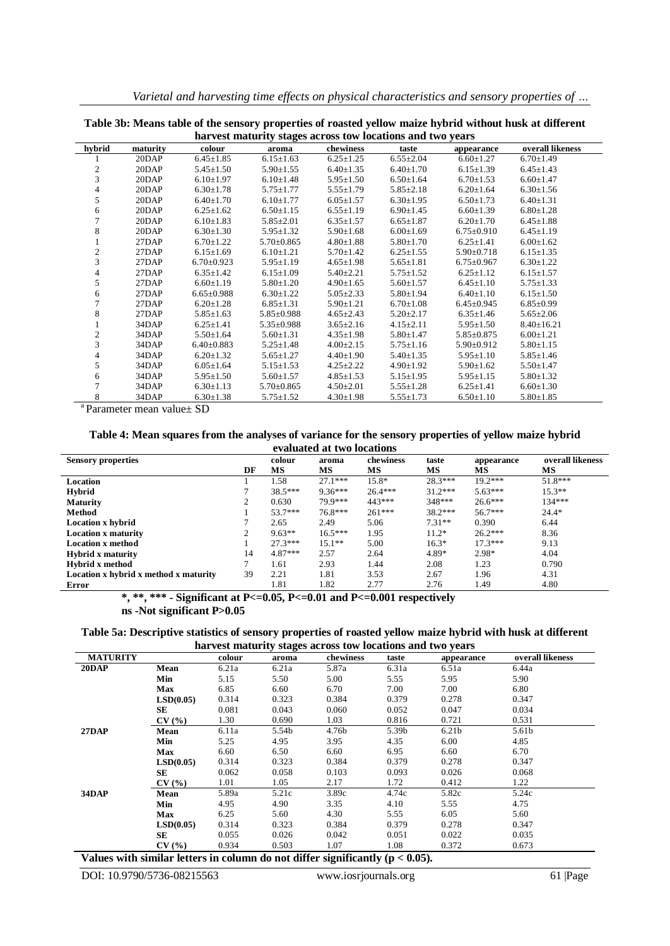|  |  |  | Varietal and harvesting time effects on physical characteristics and sensory properties of |  |  |
|--|--|--|--------------------------------------------------------------------------------------------|--|--|
|  |  |  |                                                                                            |  |  |

|                | harvest maturity stages across tow locations and two years |                  |                  |                 |                 |                  |                  |  |  |  |  |  |
|----------------|------------------------------------------------------------|------------------|------------------|-----------------|-----------------|------------------|------------------|--|--|--|--|--|
| hybrid         | maturity                                                   | colour           | aroma            | chewiness       | taste           | appearance       | overall likeness |  |  |  |  |  |
|                | 20DAP                                                      | $6.45 \pm 1.85$  | $6.15 \pm 1.63$  | $6.25 \pm 1.25$ | $6.55 \pm 2.04$ | $6.60 \pm 1.27$  | $6.70 \pm 1.49$  |  |  |  |  |  |
| 2              | 20DAP                                                      | $5.45 \pm 1.50$  | $5.90 \pm 1.55$  | $6.40 \pm 1.35$ | $6.40 \pm 1.70$ | $6.15 \pm 1.39$  | $6.45 \pm 1.43$  |  |  |  |  |  |
| 3              | 20DAP                                                      | $6.10 \pm 1.97$  | $6.10{\pm}1.48$  | $5.95 \pm 1.50$ | $6.50 \pm 1.64$ | $6.70 \pm 1.53$  | $6.60 \pm 1.47$  |  |  |  |  |  |
| 4              | 20DAP                                                      | $6.30 \pm 1.78$  | $5.75 \pm 1.77$  | $5.55 \pm 1.79$ | $5.85 \pm 2.18$ | $6.20 \pm 1.64$  | $6.30 \pm 1.56$  |  |  |  |  |  |
| 5              | 20DAP                                                      | $6.40 \pm 1.70$  | $6.10 \pm 1.77$  | $6.05 \pm 1.57$ | $6.30 \pm 1.95$ | $6.50 \pm 1.73$  | $6.40 \pm 1.31$  |  |  |  |  |  |
| 6              | 20DAP                                                      | $6.25 \pm 1.62$  | $6.50 \pm 1.15$  | $6.55 \pm 1.19$ | $6.90 \pm 1.45$ | $6.60 \pm 1.39$  | $6.80 \pm 1.28$  |  |  |  |  |  |
| 7              | 20DAP                                                      | $6.10 \pm 1.83$  | $5.85 \pm 2.01$  | $6.35 \pm 1.57$ | $6.65 \pm 1.87$ | $6.20 \pm 1.70$  | $6.45 \pm 1.88$  |  |  |  |  |  |
| 8              | 20DAP                                                      | $6.30 \pm 1.30$  | $5.95 \pm 1.32$  | $5.90 \pm 1.68$ | $6.00 \pm 1.69$ | $6.75 \pm 0.910$ | $6.45 \pm 1.19$  |  |  |  |  |  |
|                | 27DAP                                                      | $6.70 \pm 1.22$  | $5.70 \pm 0.865$ | $4.80 \pm 1.88$ | $5.80 \pm 1.70$ | $6.25 \pm 1.41$  | $6.00 \pm 1.62$  |  |  |  |  |  |
| $\overline{c}$ | 27DAP                                                      | $6.15 \pm 1.69$  | $6.10 \pm 1.21$  | $5.70 \pm 1.42$ | $6.25 \pm 1.55$ | $5.90 \pm 0.718$ | $6.15 \pm 1.35$  |  |  |  |  |  |
| 3              | 27DAP                                                      | $6.70 \pm 0.923$ | $5.95 \pm 1.19$  | $4.65 \pm 1.98$ | $5.65 \pm 1.81$ | $6.75 \pm 0.967$ | $6.30 \pm 1.22$  |  |  |  |  |  |
| 4              | 27DAP                                                      | $6.35 \pm 1.42$  | $6.15 \pm 1.09$  | $5.40 \pm 2.21$ | $5.75 \pm 1.52$ | $6.25 \pm 1.12$  | $6.15 \pm 1.57$  |  |  |  |  |  |
| 5              | 27DAP                                                      | $6.60 \pm 1.19$  | $5.80 \pm 1.20$  | $4.90 \pm 1.65$ | $5.60 \pm 1.57$ | $6.45 \pm 1.10$  | $5.75 \pm 1.33$  |  |  |  |  |  |
| 6              | 27DAP                                                      | $6.65 \pm 0.988$ | $6.30 \pm 1.22$  | $5.05 \pm 2.33$ | $5.80 \pm 1.94$ | $6.40 \pm 1.10$  | $6.15 \pm 1.50$  |  |  |  |  |  |
| 7              | 27DAP                                                      | $6.20 \pm 1.28$  | $6.85 \pm 1.31$  | $5.90 \pm 1.21$ | $6.70 \pm 1.08$ | $6.45 \pm 0.945$ | $6.85 \pm 0.99$  |  |  |  |  |  |
| 8              | 27DAP                                                      | $5.85 \pm 1.63$  | $5.85 \pm 0.988$ | $4.65 \pm 2.43$ | $5.20 \pm 2.17$ | $6.35 \pm 1.46$  | $5.65 \pm 2.06$  |  |  |  |  |  |
|                | 34DAP                                                      | $6.25 \pm 1.41$  | $5.35 \pm 0.988$ | $3.65 \pm 2.16$ | $4.15 \pm 2.11$ | $5.95 \pm 1.50$  | $8.40 \pm 16.21$ |  |  |  |  |  |
| $\overline{2}$ | 34DAP                                                      | $5.50 \pm 1.64$  | $5.60 \pm 1.31$  | $4.35 \pm 1.98$ | $5.80 \pm 1.47$ | $5.85 \pm 0.875$ | $6.00 \pm 1.21$  |  |  |  |  |  |
| 3              | 34DAP                                                      | $6.40 \pm 0.883$ | $5.25 \pm 1.48$  | $4.00 \pm 2.15$ | $5.75 \pm 1.16$ | 5.90±0.912       | $5.80 \pm 1.15$  |  |  |  |  |  |
| 4              | 34DAP                                                      | $6.20 \pm 1.32$  | $5.65 \pm 1.27$  | $4.40 \pm 1.90$ | $5.40 \pm 1.35$ | $5.95 \pm 1.10$  | $5.85 \pm 1.46$  |  |  |  |  |  |
| 5              | 34DAP                                                      | $6.05 \pm 1.64$  | $5.15 \pm 1.53$  | $4.25 \pm 2.22$ | $4.90 \pm 1.92$ | $5.90 \pm 1.62$  | $5.50 \pm 1.47$  |  |  |  |  |  |
| 6              | 34DAP                                                      | $5.95 \pm 1.50$  | $5.60 \pm 1.57$  | $4.85 \pm 1.53$ | $5.15 \pm 1.95$ | $5.95 \pm 1.15$  | $5.80 \pm 1.32$  |  |  |  |  |  |
| 7              | 34DAP                                                      | $6.30 \pm 1.13$  | $5.70 \pm 0.865$ | $4.50 \pm 2.01$ | $5.55 \pm 1.28$ | $6.25 \pm 1.41$  | $6.60 \pm 1.30$  |  |  |  |  |  |
| 8              | 34DAP                                                      | $6.30 \pm 1.38$  | $5.75 \pm 1.52$  | $4.30 \pm 1.98$ | $5.55 \pm 1.73$ | $6.50 \pm 1.10$  | $5.80 \pm 1.85$  |  |  |  |  |  |

**Table 3b: Means table of the sensory properties of roasted yellow maize hybrid without husk at different** 

<sup>a</sup>Parameter mean value± SD

#### **Table 4: Mean squares from the analyses of variance for the sensory properties of yellow maize hybrid evaluated at two locations**

| <b>Sensory properties</b>             |    | colour    | aroma     | chewiness | taste     | appearance | overall likeness |
|---------------------------------------|----|-----------|-----------|-----------|-----------|------------|------------------|
|                                       | DF | MS        | MS        | МS        | MS        | МS         | MS               |
| Location                              |    | 1.58      | $27.1***$ | 15.8*     | $28.3***$ | $19.2***$  | $51.8***$        |
| Hybrid                                |    | $38.5***$ | $9.36***$ | $26.4***$ | $31.2***$ | $5.63***$  | $15.3**$         |
| <b>Maturity</b>                       |    | 0.630     | 79.9***   | 443***    | 348***    | $26.6***$  | $134***$         |
| Method                                |    | 53.7***   | 76.8***   | $261***$  | $38.2***$ | $56.7***$  | $24.4*$          |
| <b>Location x hybrid</b>              |    | 2.65      | 2.49      | 5.06      | $7.31**$  | 0.390      | 6.44             |
| <b>Location x maturity</b>            | ◠  | $9.63**$  | $16.5***$ | 1.95      | $11.2*$   | $26.2***$  | 8.36             |
| <b>Location x method</b>              |    | $27.3***$ | $15.1**$  | 5.00      | $16.3*$   | $17.3***$  | 9.13             |
| <b>Hybrid x maturity</b>              | 14 | $4.87***$ | 2.57      | 2.64      | 4.89*     | 2.98*      | 4.04             |
| <b>Hybrid x method</b>                |    | 1.61      | 2.93      | 1.44      | 2.08      | 1.23       | 0.790            |
| Location x hybrid x method x maturity | 39 | 2.21      | 1.81      | 3.53      | 2.67      | 1.96       | 4.31             |
| Error                                 |    | 1.81      | 1.82      | 2.77      | 2.76      | 1.49       | 4.80             |

**\*, \*\*, \*\*\* - Significant at P<=0.05, P<=0.01 and P<=0.001 respectively ns -Not significant P>0.05**

| Table 5a: Descriptive statistics of sensory properties of roasted yellow maize hybrid with husk at different |
|--------------------------------------------------------------------------------------------------------------|
| harvest maturity stages across tow locations and two years                                                   |

| <b>MATURITY</b> |            | colour | -<br>aroma | chewiness | taste | appearance        | overall likeness |
|-----------------|------------|--------|------------|-----------|-------|-------------------|------------------|
| <b>20DAP</b>    | Mean       | 6.21a  | 6.21a      | 5.87a     | 6.31a | 6.51a             | 6.44a            |
|                 | Min        | 5.15   | 5.50       | 5.00      | 5.55  | 5.95              | 5.90             |
|                 | <b>Max</b> | 6.85   | 6.60       | 6.70      | 7.00  | 7.00              | 6.80             |
|                 | LSD(0.05)  | 0.314  | 0.323      | 0.384     | 0.379 | 0.278             | 0.347            |
|                 | SЕ         | 0.081  | 0.043      | 0.060     | 0.052 | 0.047             | 0.034            |
|                 | CV(%)      | 1.30   | 0.690      | 1.03      | 0.816 | 0.721             | 0.531            |
| 27 <b>DAP</b>   | Mean       | 6.11a  | 5.54b      | 4.76b     | 5.39b | 6.21 <sub>b</sub> | 5.61b            |
|                 | Min        | 5.25   | 4.95       | 3.95      | 4.35  | 6.00              | 4.85             |
|                 | <b>Max</b> | 6.60   | 6.50       | 6.60      | 6.95  | 6.60              | 6.70             |
|                 | LSD(0.05)  | 0.314  | 0.323      | 0.384     | 0.379 | 0.278             | 0.347            |
|                 | SЕ         | 0.062  | 0.058      | 0.103     | 0.093 | 0.026             | 0.068            |
|                 | CV(%)      | 1.01   | 1.05       | 2.17      | 1.72  | 0.412             | 1.22             |
| 34DAP           | Mean       | 5.89a  | 5.21c      | 3.89c     | 4.74c | 5.82c             | 5.24c            |
|                 | Min        | 4.95   | 4.90       | 3.35      | 4.10  | 5.55              | 4.75             |
|                 | <b>Max</b> | 6.25   | 5.60       | 4.30      | 5.55  | 6.05              | 5.60             |
|                 | LSD(0.05)  | 0.314  | 0.323      | 0.384     | 0.379 | 0.278             | 0.347            |
|                 | SЕ         | 0.055  | 0.026      | 0.042     | 0.051 | 0.022             | 0.035            |
|                 | CV(%)      | 0.934  | 0.503      | 1.07      | 1.08  | 0.372             | 0.673            |

**Values with similar letters in column do not differ significantly (p < 0.05).**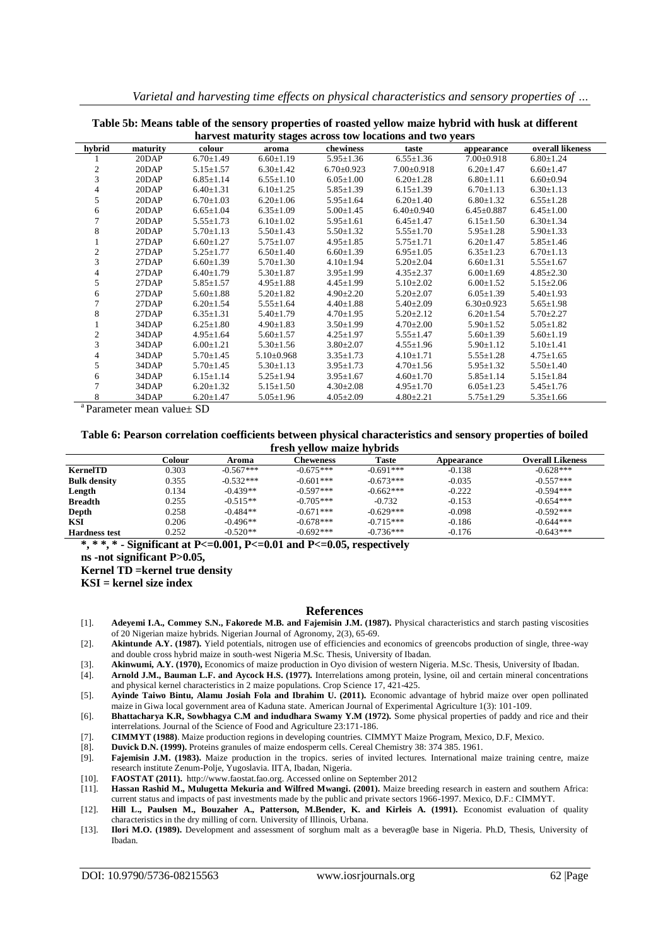|                | harvest maturity stages across tow locations and two years |                 |                 |                  |                  |                  |                  |  |  |  |  |
|----------------|------------------------------------------------------------|-----------------|-----------------|------------------|------------------|------------------|------------------|--|--|--|--|
| hybrid         | maturity                                                   | colour          | aroma           | chewiness        | taste            | appearance       | overall likeness |  |  |  |  |
|                | 20DAP                                                      | $6.70 \pm 1.49$ | $6.60 \pm 1.19$ | $5.95 \pm 1.36$  | $6.55 \pm 1.36$  | $7.00 \pm 0.918$ | $6.80 \pm 1.24$  |  |  |  |  |
| 2              | 20DAP                                                      | $5.15 \pm 1.57$ | $6.30 \pm 1.42$ | $6.70 \pm 0.923$ | $7.00 \pm 0.918$ | $6.20 \pm 1.47$  | $6.60 \pm 1.47$  |  |  |  |  |
| 3              | 20DAP                                                      | $6.85 \pm 1.14$ | $6.55 \pm 1.10$ | $6.05 \pm 1.00$  | $6.20 \pm 1.28$  | $6.80 \pm 1.11$  | $6.60 \pm 0.94$  |  |  |  |  |
| 4              | 20DAP                                                      | $6.40 \pm 1.31$ | $6.10 \pm 1.25$ | $5.85 \pm 1.39$  | $6.15 \pm 1.39$  | $6.70 \pm 1.13$  | $6.30 \pm 1.13$  |  |  |  |  |
| 5              | 20DAP                                                      | $6.70 \pm 1.03$ | $6.20 \pm 1.06$ | $5.95 \pm 1.64$  | $6.20 \pm 1.40$  | $6.80 \pm 1.32$  | $6.55 \pm 1.28$  |  |  |  |  |
| 6              | 20DAP                                                      | $6.65 \pm 1.04$ | $6.35 \pm 1.09$ | $5.00 \pm 1.45$  | $6.40{\pm}0.940$ | $6.45 \pm 0.887$ | $6.45 \pm 1.00$  |  |  |  |  |
| 7              | 20DAP                                                      | $5.55 \pm 1.73$ | $6.10 \pm 1.02$ | $5.95 \pm 1.61$  | $6.45 \pm 1.47$  | $6.15 \pm 1.50$  | $6.30 \pm 1.34$  |  |  |  |  |
| 8              | 20DAP                                                      | $5.70 \pm 1.13$ | $5.50 \pm 1.43$ | $5.50 \pm 1.32$  | $5.55 \pm 1.70$  | $5.95 \pm 1.28$  | $5.90 \pm 1.33$  |  |  |  |  |
|                | 27DAP                                                      | $6.60 \pm 1.27$ | $5.75 \pm 1.07$ | $4.95 \pm 1.85$  | $5.75 \pm 1.71$  | $6.20 \pm 1.47$  | $5.85 \pm 1.46$  |  |  |  |  |
| $\overline{c}$ | 27DAP                                                      | $5.25 \pm 1.77$ | $6.50 \pm 1.40$ | $6.60 \pm 1.39$  | $6.95 \pm 1.05$  | $6.35 \pm 1.23$  | $6.70 \pm 1.13$  |  |  |  |  |
| 3              | 27DAP                                                      | $6.60 \pm 1.39$ | $5.70 \pm 1.30$ | $4.10 \pm 1.94$  | $5.20 \pm 2.04$  | $6.60 \pm 1.31$  | $5.55 \pm 1.67$  |  |  |  |  |
| 4              | 27DAP                                                      | $6.40 \pm 1.79$ | $5.30 \pm 1.87$ | $3.95 \pm 1.99$  | $4.35 \pm 2.37$  | $6.00 \pm 1.69$  | $4.85 \pm 2.30$  |  |  |  |  |
| 5              | 27DAP                                                      | $5.85 \pm 1.57$ | $4.95 \pm 1.88$ | $4.45 \pm 1.99$  | $5.10 \pm 2.02$  | $6.00 \pm 1.52$  | $5.15 \pm 2.06$  |  |  |  |  |
| 6              | 27DAP                                                      | $5.60 \pm 1.88$ | $5.20 \pm 1.82$ | $4.90 \pm 2.20$  | $5.20 \pm 2.07$  | $6.05 \pm 1.39$  | $5.40 \pm 1.93$  |  |  |  |  |
|                | 27DAP                                                      | $6.20 \pm 1.54$ | $5.55 \pm 1.64$ | $4.40 \pm 1.88$  | $5.40 \pm 2.09$  | $6.30\pm0.923$   | $5.65 \pm 1.98$  |  |  |  |  |
| 8              | 27DAP                                                      | $6.35 \pm 1.31$ | $5.40 \pm 1.79$ | $4.70 \pm 1.95$  | $5.20 \pm 2.12$  | $6.20 \pm 1.54$  | $5.70 \pm 2.27$  |  |  |  |  |
|                | 34DAP                                                      | $6.25 \pm 1.80$ | $4.90 \pm 1.83$ | $3.50 \pm 1.99$  | $4.70 \pm 2.00$  | $5.90 \pm 1.52$  | $5.05 \pm 1.82$  |  |  |  |  |
| 2              | 34DAP                                                      | $4.95 \pm 1.64$ | $5.60 \pm 1.57$ | $4.25 \pm 1.97$  | $5.55 \pm 1.47$  | $5.60 \pm 1.39$  | $5.60 \pm 1.19$  |  |  |  |  |
| 3              | 34DAP                                                      | $6.00 \pm 1.21$ | $5.30 \pm 1.56$ | $3.80 \pm 2.07$  | $4.55 \pm 1.96$  | $5.90 \pm 1.12$  | $5.10 \pm 1.41$  |  |  |  |  |
| 4              | 34DAP                                                      | $5.70 \pm 1.45$ | $5.10\pm0.968$  | $3.35 \pm 1.73$  | $4.10 \pm 1.71$  | $5.55 \pm 1.28$  | $4.75 \pm 1.65$  |  |  |  |  |
| 5              | 34DAP                                                      | $5.70 \pm 1.45$ | $5.30 \pm 1.13$ | $3.95 \pm 1.73$  | $4.70 \pm 1.56$  | $5.95 \pm 1.32$  | $5.50 \pm 1.40$  |  |  |  |  |
| 6              | 34DAP                                                      | $6.15 \pm 1.14$ | $5.25 \pm 1.94$ | $3.95 \pm 1.67$  | $4.60 \pm 1.70$  | $5.85 \pm 1.14$  | $5.15 \pm 1.84$  |  |  |  |  |
|                | 34DAP                                                      | $6.20 \pm 1.32$ | $5.15 \pm 1.50$ | $4.30 \pm 2.08$  | $4.95 \pm 1.70$  | $6.05 \pm 1.23$  | $5.45 \pm 1.76$  |  |  |  |  |
| 8              | 34DAP                                                      | $6.20 \pm 1.47$ | $5.05 \pm 1.96$ | $4.05 \pm 2.09$  | $4.80 \pm 2.21$  | $5.75 \pm 1.29$  | $5.35 \pm 1.66$  |  |  |  |  |

**Table 5b: Means table of the sensory properties of roasted yellow maize hybrid with husk at different** 

<sup>a</sup> Parameter mean value± SD

#### **Table 6: Pearson correlation coefficients between physical characteristics and sensory properties of boiled fresh yellow maize hybrids**

|                      | Colour | Aroma       | Cheweness   | <b>Taste</b> | Appearance | <b>Overall Likeness</b> |
|----------------------|--------|-------------|-------------|--------------|------------|-------------------------|
| <b>KernelTD</b>      | 0.303  | $-0.567***$ | $-0.675***$ | $-0.691***$  | $-0.138$   | $-0.628***$             |
| <b>Bulk density</b>  | 0.355  | $-0.532***$ | $-0.601***$ | $-0.673***$  | $-0.035$   | $-0.557***$             |
| Length               | 0.134  | $-0.439**$  | $-0.597***$ | $-0.662***$  | $-0.222$   | $-0.594***$             |
| <b>Breadth</b>       | 0.255  | $-0.515**$  | $-0.705***$ | $-0.732$     | $-0.153$   | $-0.654***$             |
| Depth                | 0.258  | $-0.484**$  | $-0.671***$ | $-0.629***$  | $-0.098$   | $-0.592***$             |
| KSI                  | 0.206  | $-0.496**$  | $-0.678***$ | $-0.715***$  | $-0.186$   | $-0.644***$             |
| <b>Hardness test</b> | 0.252  | $-0.520**$  | $-0.692***$ | $-0.736***$  | $-0.176$   | $-0.643***$             |

**\*, \* \*, \* - Significant at P<=0.001, P<=0.01 and P<=0.05, respectively**

**ns -not significant P>0.05,**

**Kernel TD =kernel true density**

**KSI = kernel size index**

#### **References**

- [1]. **Adeyemi I.A., Commey S.N., Fakorede M.B. and Fajemisin J.M. (1987).** Physical characteristics and starch pasting viscosities of 20 Nigerian maize hybrids. Nigerian Journal of Agronomy, 2(3), 65-69.
- [2]. **Akintunde A.Y. (1987).** Yield potentials, nitrogen use of efficiencies and economics of greencobs production of single, three-way and double cross hybrid maize in south-west Nigeria M.Sc. Thesis, University of Ibadan.
- [3]. **Akinwumi, A.Y. (1970),** Economics of maize production in Oyo division of western Nigeria. M.Sc. Thesis, University of Ibadan.
- [4]. **Arnold J.M., Bauman L.F. and Aycock H.S. (1977).** Interrelations among protein, lysine, oil and certain mineral concentrations and physical kernel characteristics in 2 maize populations. Crop Science 17, 421-425.
- [5]. **Ayinde Taiwo Bintu, Alamu Josiah Fola and Ibrahim U. (2011).** Economic advantage of hybrid maize over open pollinated maize in Giwa local government area of Kaduna state. American Journal of Experimental Agriculture 1(3): 101-109.

[6]. **Bhattacharya K.R, Sowbhagya C.M and indudhara Swamy Y.M (1972).** Some physical properties of paddy and rice and their interrelations. Journal of the Science of Food and Agriculture 23:171-186.

- [7]. **CIMMYT (1988)**. Maize production regions in developing countries. CIMMYT Maize Program, Mexico, D.F, Mexico.
- [8]. **Duvick D.N. (1999).** Proteins granules of maize endosperm cells. Cereal Chemistry 38: 374 385. 1961.
- [9]. **Fajemisin J.M. (1983).** Maize production in the tropics. series of invited lectures. International maize training centre, maize research institute Zenum-Polje, Yugoslavia. IITA, Ibadan, Nigeria.
- [10]. **FAOSTAT (2011).** http://www.faostat.fao.org. Accessed online on September 2012
- [11]. **Hassan Rashid M., Mulugetta Mekuria and Wilfred Mwangi. (2001).** Maize breeding research in eastern and southern Africa: current status and impacts of past investments made by the public and private sectors 1966-1997. Mexico, D.F.: CIMMYT.
- [12]. **Hill L., Paulsen M., Bouzaher A., Patterson, M.Bender, K. and Kirleis A. (1991).** Economist evaluation of quality characteristics in the dry milling of corn. University of Illinois, Urbana.
- [13]. **Ilori M.O. (1989).** Development and assessment of sorghum malt as a beverag0e base in Nigeria. Ph.D, Thesis, University of Ibadan.